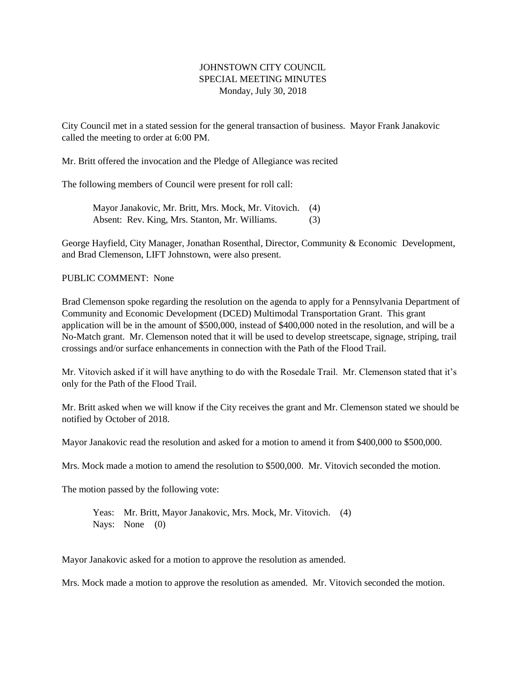## JOHNSTOWN CITY COUNCIL SPECIAL MEETING MINUTES Monday, July 30, 2018

City Council met in a stated session for the general transaction of business. Mayor Frank Janakovic called the meeting to order at 6:00 PM.

Mr. Britt offered the invocation and the Pledge of Allegiance was recited

The following members of Council were present for roll call:

Mayor Janakovic, Mr. Britt, Mrs. Mock, Mr. Vitovich. (4) Absent: Rev. King, Mrs. Stanton, Mr. Williams. (3)

George Hayfield, City Manager, Jonathan Rosenthal, Director, Community & Economic Development, and Brad Clemenson, LIFT Johnstown, were also present.

## PUBLIC COMMENT: None

Brad Clemenson spoke regarding the resolution on the agenda to apply for a Pennsylvania Department of Community and Economic Development (DCED) Multimodal Transportation Grant. This grant application will be in the amount of \$500,000, instead of \$400,000 noted in the resolution, and will be a No-Match grant. Mr. Clemenson noted that it will be used to develop streetscape, signage, striping, trail crossings and/or surface enhancements in connection with the Path of the Flood Trail.

Mr. Vitovich asked if it will have anything to do with the Rosedale Trail. Mr. Clemenson stated that it's only for the Path of the Flood Trail.

Mr. Britt asked when we will know if the City receives the grant and Mr. Clemenson stated we should be notified by October of 2018.

Mayor Janakovic read the resolution and asked for a motion to amend it from \$400,000 to \$500,000.

Mrs. Mock made a motion to amend the resolution to \$500,000. Mr. Vitovich seconded the motion.

The motion passed by the following vote:

Yeas: Mr. Britt, Mayor Janakovic, Mrs. Mock, Mr. Vitovich. (4) Nays: None (0)

Mayor Janakovic asked for a motion to approve the resolution as amended.

Mrs. Mock made a motion to approve the resolution as amended. Mr. Vitovich seconded the motion.